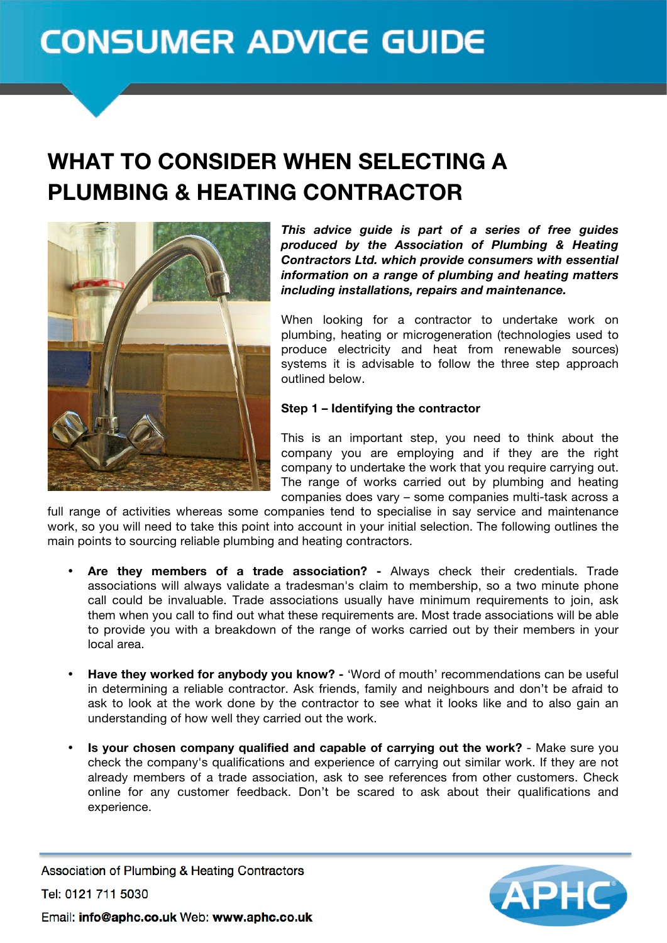# **CONSUMER ADVICE GUIDE**

# WHAT TO CONSIDER WHEN SELECTING A PLUMBING & HEATING CONTRACTOR



*This advice guide is part of a series of free guides produced by the Association of Plumbing & Heating Contractors Ltd. which provide consumers with essential information on a range of plumbing and heating matters including installations, repairs and maintenance.* 

When looking for a contractor to undertake work on plumbing, heating or microgeneration (technologies used to produce electricity and heat from renewable sources) systems it is advisable to follow the three step approach outlined below.

#### **Step 1 – Identifying the contractor**

This is an important step, you need to think about the company you are employing and if they are the right company to undertake the work that you require carrying out. The range of works carried out by plumbing and heating companies does vary – some companies multi-task across a

full range of activities whereas some companies tend to specialise in say service and maintenance work, so you will need to take this point into account in your initial selection. The following outlines the main points to sourcing reliable plumbing and heating contractors.

- **Are they members of a trade association? -** Always check their credentials. Trade associations will always validate a tradesman's claim to membership, so a two minute phone call could be invaluable. Trade associations usually have minimum requirements to join, ask them when you call to find out what these requirements are. Most trade associations will be able to provide you with a breakdown of the range of works carried out by their members in your local area.
- **Have they worked for anybody you know? -** 'Word of mouth' recommendations can be useful in determining a reliable contractor. Ask friends, family and neighbours and don't be afraid to ask to look at the work done by the contractor to see what it looks like and to also gain an understanding of how well they carried out the work.
- **Is your chosen company qualified and capable of carrying out the work?** Make sure you check the company's qualifications and experience of carrying out similar work. If they are not already members of a trade association, ask to see references from other customers. Check online for any customer feedback. Don't be scared to ask about their qualifications and experience.

Association of Plumbing & Heating Contractors Tel: 0121 711 5030 Email: info@aphc.co.uk Web: www.aphc.co.uk

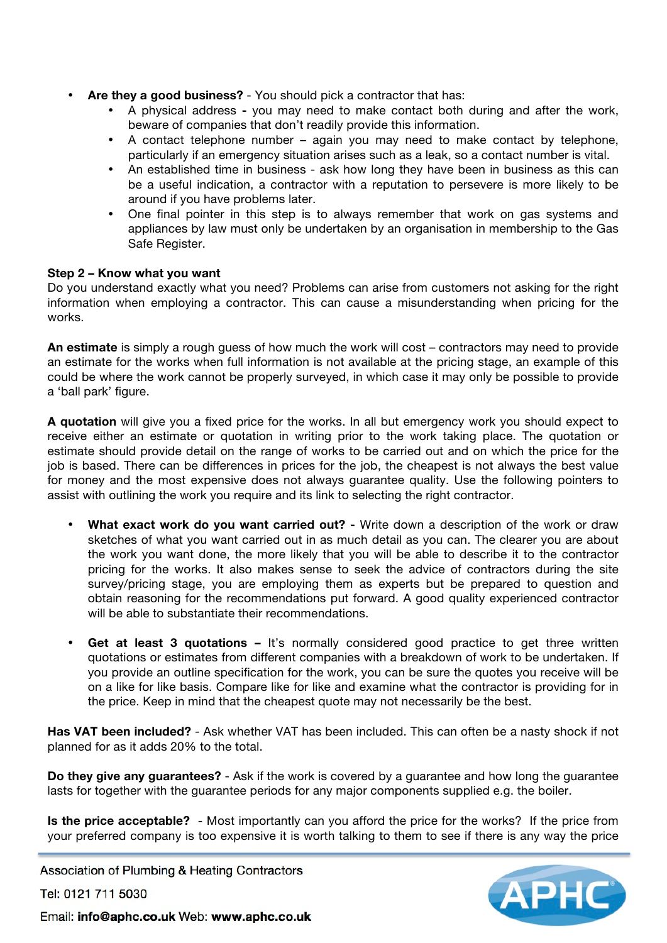- **Are they a good business?**  You should pick a contractor that has:
	- A physical address **-** you may need to make contact both during and after the work, beware of companies that don't readily provide this information.
	- A contact telephone number again you may need to make contact by telephone, particularly if an emergency situation arises such as a leak, so a contact number is vital.
	- An established time in business ask how long they have been in business as this can be a useful indication, a contractor with a reputation to persevere is more likely to be around if you have problems later.
	- One final pointer in this step is to always remember that work on gas systems and appliances by law must only be undertaken by an organisation in membership to the Gas Safe Register.

## **Step 2 – Know what you want**

Do you understand exactly what you need? Problems can arise from customers not asking for the right information when employing a contractor. This can cause a misunderstanding when pricing for the works.

**An estimate** is simply a rough guess of how much the work will cost – contractors may need to provide an estimate for the works when full information is not available at the pricing stage, an example of this could be where the work cannot be properly surveyed, in which case it may only be possible to provide a 'ball park' figure.

**A quotation** will give you a fixed price for the works. In all but emergency work you should expect to receive either an estimate or quotation in writing prior to the work taking place. The quotation or estimate should provide detail on the range of works to be carried out and on which the price for the job is based. There can be differences in prices for the job, the cheapest is not always the best value for money and the most expensive does not always guarantee quality. Use the following pointers to assist with outlining the work you require and its link to selecting the right contractor.

- **What exact work do you want carried out? -** Write down a description of the work or draw sketches of what you want carried out in as much detail as you can. The clearer you are about the work you want done, the more likely that you will be able to describe it to the contractor pricing for the works. It also makes sense to seek the advice of contractors during the site survey/pricing stage, you are employing them as experts but be prepared to question and obtain reasoning for the recommendations put forward. A good quality experienced contractor will be able to substantiate their recommendations.
- **Get at least 3 quotations –** It's normally considered good practice to get three written quotations or estimates from different companies with a breakdown of work to be undertaken. If you provide an outline specification for the work, you can be sure the quotes you receive will be on a like for like basis. Compare like for like and examine what the contractor is providing for in the price. Keep in mind that the cheapest quote may not necessarily be the best.

**Has VAT been included?** - Ask whether VAT has been included. This can often be a nasty shock if not planned for as it adds 20% to the total.

**Do they give any guarantees?** - Ask if the work is covered by a guarantee and how long the guarantee lasts for together with the guarantee periods for any major components supplied e.g. the boiler.

**Is the price acceptable?** - Most importantly can you afford the price for the works? If the price from your preferred company is too expensive it is worth talking to them to see if there is any way the price

Association of Plumbing & Heating Contractors

Tel: 0121 711 5030



Email: info@aphc.co.uk Web: www.aphc.co.uk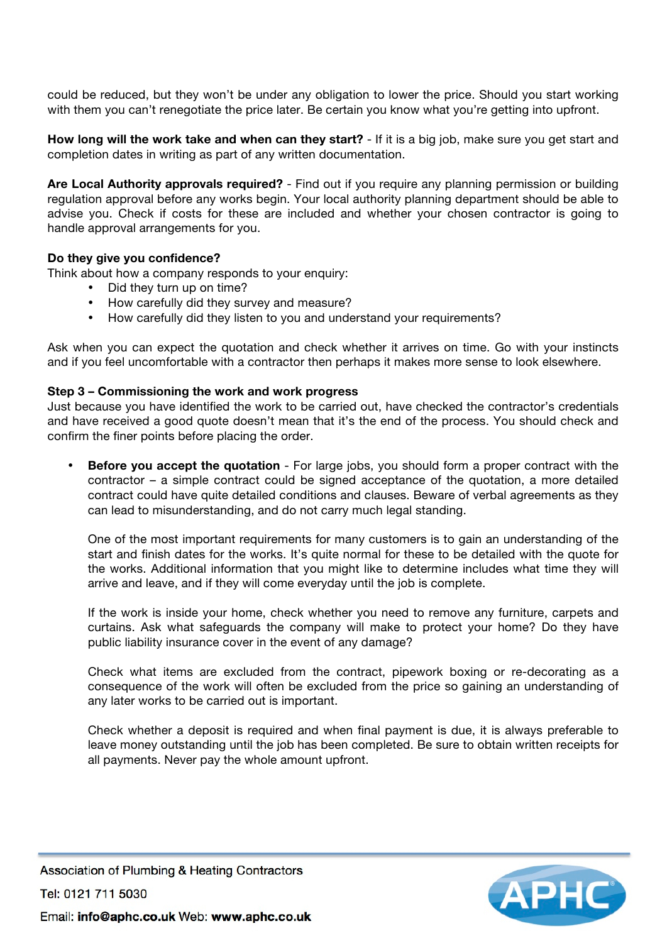could be reduced, but they won't be under any obligation to lower the price. Should you start working with them you can't renegotiate the price later. Be certain you know what you're getting into upfront.

**How long will the work take and when can they start?** - If it is a big job, make sure you get start and completion dates in writing as part of any written documentation.

**Are Local Authority approvals required?** - Find out if you require any planning permission or building regulation approval before any works begin. Your local authority planning department should be able to advise you. Check if costs for these are included and whether your chosen contractor is going to handle approval arrangements for you.

# **Do they give you confidence?**

Think about how a company responds to your enquiry:

- Did they turn up on time?
- How carefully did they survey and measure?
- How carefully did they listen to you and understand your requirements?

Ask when you can expect the quotation and check whether it arrives on time. Go with your instincts and if you feel uncomfortable with a contractor then perhaps it makes more sense to look elsewhere.

#### **Step 3 – Commissioning the work and work progress**

Just because you have identified the work to be carried out, have checked the contractor's credentials and have received a good quote doesn't mean that it's the end of the process. You should check and confirm the finer points before placing the order.

**Before you accept the quotation** - For large jobs, you should form a proper contract with the contractor – a simple contract could be signed acceptance of the quotation, a more detailed contract could have quite detailed conditions and clauses. Beware of verbal agreements as they can lead to misunderstanding, and do not carry much legal standing.

One of the most important requirements for many customers is to gain an understanding of the start and finish dates for the works. It's quite normal for these to be detailed with the quote for the works. Additional information that you might like to determine includes what time they will arrive and leave, and if they will come everyday until the job is complete.

If the work is inside your home, check whether you need to remove any furniture, carpets and curtains. Ask what safeguards the company will make to protect your home? Do they have public liability insurance cover in the event of any damage?

Check what items are excluded from the contract, pipework boxing or re-decorating as a consequence of the work will often be excluded from the price so gaining an understanding of any later works to be carried out is important.

Check whether a deposit is required and when final payment is due, it is always preferable to leave money outstanding until the job has been completed. Be sure to obtain written receipts for all payments. Never pay the whole amount upfront.